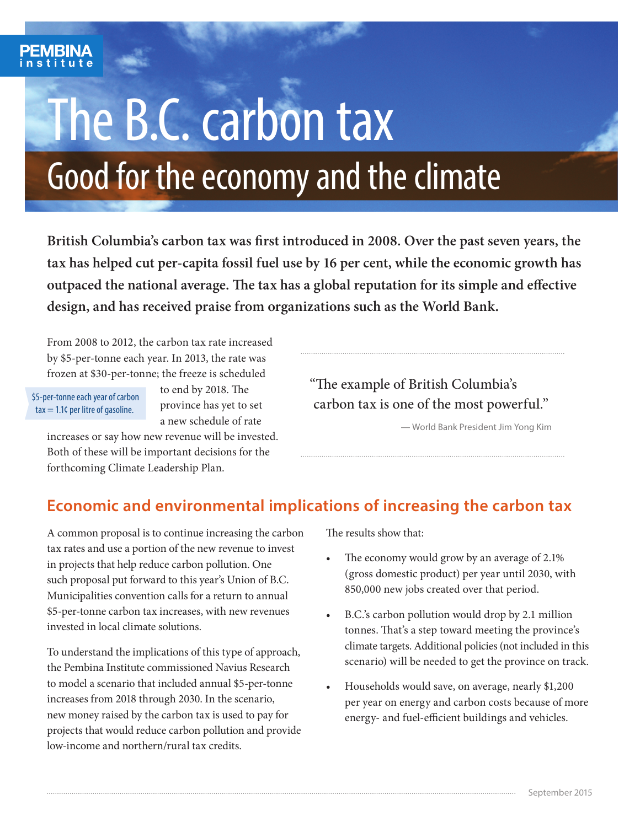# The B.C. carbon tax Good for the economy and the climate

**British Columbia's carbon tax was first introduced in 2008. Over the past seven years, the tax has helped cut per-capita fossil fuel use by 16 per cent, while the economic growth has outpaced the national average. The tax has a global reputation for its simple and effective design, and has received praise from organizations such as the World Bank.**

From 2008 to 2012, the carbon tax rate increased by \$5-per-tonne each year. In 2013, the rate was frozen at \$30-per-tonne; the freeze is scheduled

 \$5-per-tonne each year of carbon  $\text{tax} = 1.1$ ¢ per litre of gasoline.

to end by 2018. The province has yet to set a new schedule of rate

increases or say how new revenue will be invested. Both of these will be important decisions for the forthcoming Climate Leadership Plan.

"The example of British Columbia's carbon tax is one of the most powerful."

— World Bank President Jim Yong Kim

### **Economic and environmental implications of increasing the carbon tax**

A common proposal is to continue increasing the carbon tax rates and use a portion of the new revenue to invest in projects that help reduce carbon pollution. One such proposal put forward to this year's Union of B.C. Municipalities convention calls for a return to annual \$5-per-tonne carbon tax increases, with new revenues invested in local climate solutions.

To understand the implications of this type of approach, the Pembina Institute commissioned Navius Research to model a scenario that included annual \$5-per-tonne increases from 2018 through 2030. In the scenario, new money raised by the carbon tax is used to pay for projects that would reduce carbon pollution and provide low-income and northern/rural tax credits.

The results show that:

- The economy would grow by an average of 2.1% (gross domestic product) per year until 2030, with 850,000 new jobs created over that period.
- B.C.'s carbon pollution would drop by 2.1 million tonnes. That's a step toward meeting the province's climate targets. Additional policies (not included in this scenario) will be needed to get the province on track.
- Households would save, on average, nearly \$1,200 per year on energy and carbon costs because of more energy- and fuel-efficient buildings and vehicles.